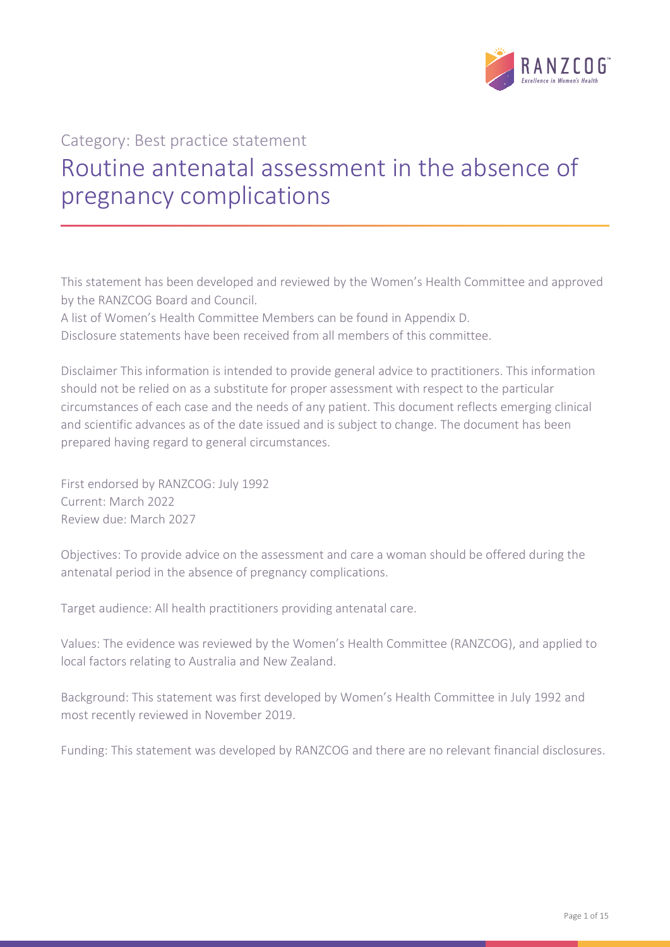

# Category: Best practice statement

# Routine antenatal assessment in the absence of pregnancy complications

This statement has been developed and reviewed by the Women's Health Committee and approved by the RANZCOG Board and Council.

A list of Women's Health Committee Members can be found in Appendix D.

Disclosure statements have been received from all members of this committee.

Disclaimer This information is intended to provide general advice to practitioners. This information should not be relied on as a substitute for proper assessment with respect to the particular circumstances of each case and the needs of any patient. This document reflects emerging clinical and scientific advances as of the date issued and is subject to change. The document has been prepared having regard to general circumstances.

First endorsed by RANZCOG: July 1992 Current: March 2022 Review due: March 2027

Objectives: To provide advice on the assessment and care a woman should be offered during the antenatal period in the absence of pregnancy complications.

Target audience: All health practitioners providing antenatal care.

Values: The evidence was reviewed by the Women's Health Committee (RANZCOG), and applied to local factors relating to Australia and New Zealand.

Background: This statement was first developed by Women's Health Committee in July 1992 and most recently reviewed in November 2019.

Funding: This statement was developed by RANZCOG and there are no relevant financial disclosures.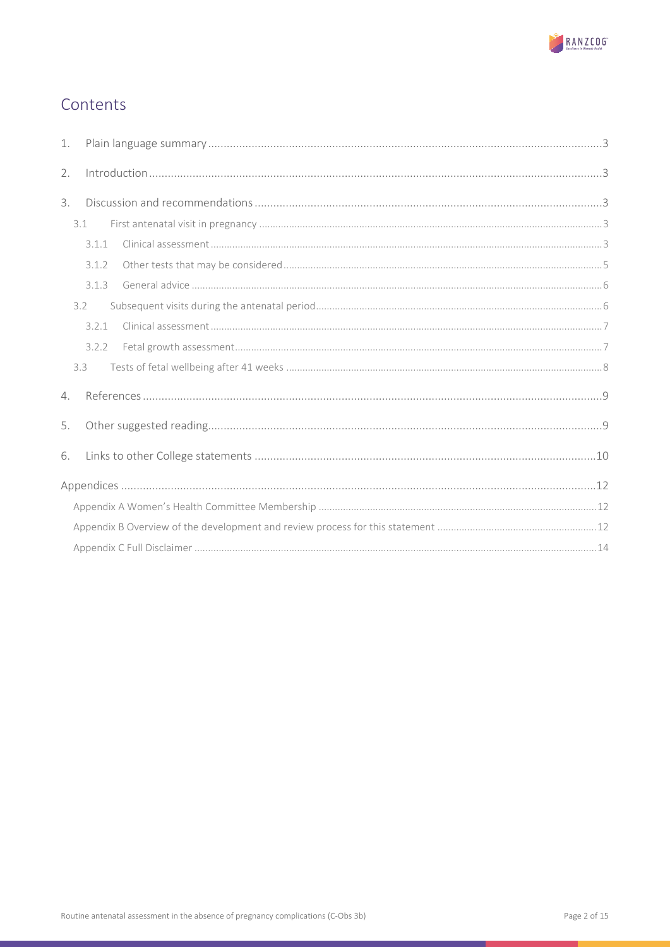

# Contents

| 1. |       |  |  |  |  |  |
|----|-------|--|--|--|--|--|
| 2. |       |  |  |  |  |  |
| 3. |       |  |  |  |  |  |
|    | 3.1   |  |  |  |  |  |
|    | 3.1.1 |  |  |  |  |  |
|    | 3.1.2 |  |  |  |  |  |
|    | 3.1.3 |  |  |  |  |  |
|    | 3.2   |  |  |  |  |  |
|    | 3.2.1 |  |  |  |  |  |
|    | 3.2.2 |  |  |  |  |  |
|    | 33    |  |  |  |  |  |
| 4. |       |  |  |  |  |  |
| 5. |       |  |  |  |  |  |
| 6. |       |  |  |  |  |  |
|    |       |  |  |  |  |  |
|    |       |  |  |  |  |  |
|    |       |  |  |  |  |  |
|    |       |  |  |  |  |  |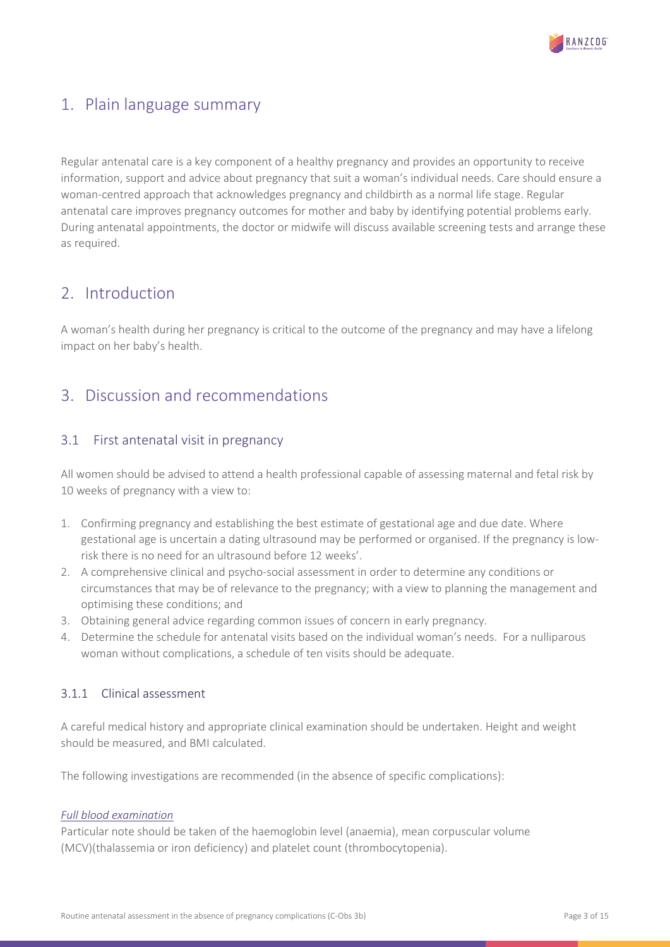

# <span id="page-2-0"></span>1. Plain language summary

Regular antenatal care is a key component of a healthy pregnancy and provides an opportunity to receive information, support and advice about pregnancy that suit a woman's individual needs. Care should ensure a woman-centred approach that acknowledges pregnancy and childbirth as a normal life stage. Regular antenatal care improves pregnancy outcomes for mother and baby by identifying potential problems early. During antenatal appointments, the doctor or midwife will discuss available screening tests and arrange these as required.

# <span id="page-2-1"></span>2. Introduction

A woman's health during her pregnancy is critical to the outcome of the pregnancy and may have a lifelong impact on her baby's health.

# <span id="page-2-2"></span>3. Discussion and recommendations

# <span id="page-2-3"></span>3.1 First antenatal visit in pregnancy

All women should be advised to attend a health professional capable of assessing maternal and fetal risk by 10 weeks of pregnancy with a view to:

- 1. Confirming pregnancy and establishing the best estimate of gestational age and due date. Where gestational age is uncertain a dating ultrasound may be performed or organised. If the pregnancy is lowrisk there is no need for an ultrasound before 12 weeks'.
- 2. A comprehensive clinical and psycho-social assessment in order to determine any conditions or circumstances that may be of relevance to the pregnancy; with a view to planning the management and optimising these conditions; and
- 3. Obtaining general advice regarding common issues of concern in early pregnancy.
- 4. Determine the schedule for antenatal visits based on the individual woman's needs. For a nulliparous woman without complications, a schedule of ten visits should be adequate.

# <span id="page-2-4"></span>3.1.1 Clinical assessment

A careful medical history and appropriate clinical examination should be undertaken. Height and weight should be measured, and BMI calculated.

The following investigations are recommended (in the absence of specific complications):

# *Full blood examination*

Particular note should be taken of the haemoglobin level (anaemia), mean corpuscular volume (MCV)(thalassemia or iron deficiency) and platelet count (thrombocytopenia).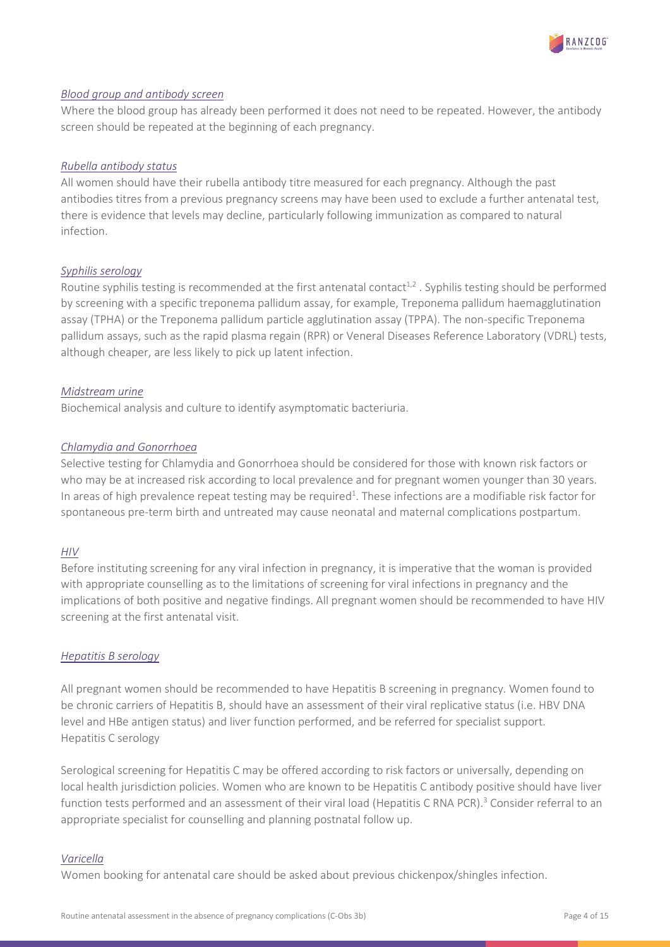

# *Blood group and antibody screen*

Where the blood group has already been performed it does not need to be repeated. However, the antibody screen should be repeated at the beginning of each pregnancy.

#### *Rubella antibody status*

All women should have their rubella antibody titre measured for each pregnancy. Although the past antibodies titres from a previous pregnancy screens may have been used to exclude a further antenatal test, there is evidence that levels may decline, particularly following immunization as compared to natural infection.

# *Syphilis serology*

Routine syphilis testing is recommended at the first antenatal contact<sup>1,2</sup>. Syphilis testing should be performed by screening with a specific treponema pallidum assay, for example, Treponema pallidum haemagglutination assay (TPHA) or the Treponema pallidum particle agglutination assay (TPPA). The non-specific Treponema pallidum assays, such as the rapid plasma regain (RPR) or Veneral Diseases Reference Laboratory (VDRL) tests, although cheaper, are less likely to pick up latent infection.

# *Midstream urine*

Biochemical analysis and culture to identify asymptomatic bacteriuria.

#### *Chlamydia and Gonorrhoea*

Selective testing for Chlamydia and Gonorrhoea should be considered for those with known risk factors or who may be at increased risk according to local prevalence and for pregnant women younger than 30 years. In areas of high prevalence repeat testing may be required<sup>1</sup>. These infections are a modifiable risk factor for spontaneous pre-term birth and untreated may cause neonatal and maternal complications postpartum.

# *HIV*

Before instituting screening for any viral infection in pregnancy, it is imperative that the woman is provided with appropriate counselling as to the limitations of screening for viral infections in pregnancy and the implications of both positive and negative findings. All pregnant women should be recommended to have HIV screening at the first antenatal visit.

# *Hepatitis B serology*

All pregnant women should be recommended to have Hepatitis B screening in pregnancy. Women found to be chronic carriers of Hepatitis B, should have an assessment of their viral replicative status (i.e. HBV DNA level and HBe antigen status) and liver function performed, and be referred for specialist support. Hepatitis C serology

Serological screening for Hepatitis C may be offered according to risk factors or universally, depending on local health jurisdiction policies. Women who are known to be Hepatitis C antibody positive should have liver function tests performed and an assessment of their viral load (Hepatitis C RNA PCR).<sup>3</sup> Consider referral to an appropriate specialist for counselling and planning postnatal follow up.

#### *Varicella*

Women booking for antenatal care should be asked about previous chickenpox/shingles infection.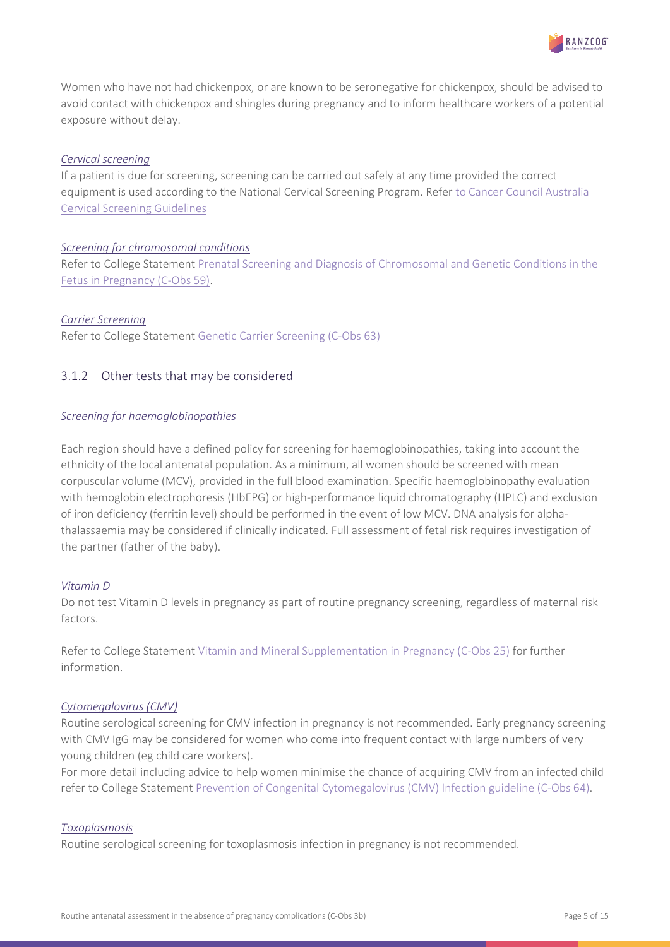Women who have not had chickenpox, or are known to be seronegative for chickenpox, should be advised to avoid contact with chickenpox and shingles during pregnancy and to inform healthcare workers of a potential exposure without delay.

# *Cervical screening*

If a patient is due for screening, screening can be carried out safely at any time provided the correct equipment is used according to the National Cervical Screening Program. Refe[r to Cancer Council Australia](https://www.cancer.org.au/clinical-guidelines/cervical-cancer-screening/screening-in-pregnancy/?title=Clinical_question:Screening_in_pregnancy)  [Cervical Screening Guidelines](https://www.cancer.org.au/clinical-guidelines/cervical-cancer-screening/screening-in-pregnancy/?title=Clinical_question:Screening_in_pregnancy)

# *Screening for chromosomal conditions*

Refer to College Statement [Prenatal Screening and Diagnosis of Chromosomal and Genetic Conditions in the](https://ranzcog.edu.au/RANZCOG_SITE/media/RANZCOG-MEDIA/Women%27s%20Health/Statement%20and%20guidelines/Clinical-Obstetrics/Prenatal-screening_1.pdf?ext=.pdf)  [Fetus in Pregnancy \(C-Obs 59\).](https://ranzcog.edu.au/RANZCOG_SITE/media/RANZCOG-MEDIA/Women%27s%20Health/Statement%20and%20guidelines/Clinical-Obstetrics/Prenatal-screening_1.pdf?ext=.pdf)

# *Carrier Screening*

Refer to College Statement [Genetic Carrier Screening \(C-Obs 63\)](https://ranzcog.edu.au/RANZCOG_SITE/media/RANZCOG-MEDIA/Women%27s%20Health/Statement%20and%20guidelines/Clinical-Obstetrics/Genetic-carrier-screening(C-Obs-63)New-March-2019_1.pdf?ext=.pdf)

# <span id="page-4-0"></span>3.1.2 Other tests that may be considered

# *Screening for haemoglobinopathies*

Each region should have a defined policy for screening for haemoglobinopathies, taking into account the ethnicity of the local antenatal population. As a minimum, all women should be screened with mean corpuscular volume (MCV), provided in the full blood examination. Specific haemoglobinopathy evaluation with hemoglobin electrophoresis (HbEPG) or high-performance liquid chromatography (HPLC) and exclusion of iron deficiency (ferritin level) should be performed in the event of low MCV. DNA analysis for alphathalassaemia may be considered if clinically indicated. Full assessment of fetal risk requires investigation of the partner (father of the baby).

# *Vitamin D*

Do not test Vitamin D levels in pregnancy as part of routine pregnancy screening, regardless of maternal risk factors.

Refer to College Statement [Vitamin and Mineral Supplementation in Pregnancy \(C-Obs 25\)](https://ranzcog.edu.au/RANZCOG_SITE/media/RANZCOG-MEDIA/Women%27s%20Health/Statement%20and%20guidelines/Clinical-Obstetrics/Vitamin-and-mineral-supplementation-in-pregnancy-(C-Obs-25).pdf?ext=.pdf) for further information.

# *Cytomegalovirus (CMV)*

Routine serological screening for CMV infection in pregnancy is not recommended. Early pregnancy screening with CMV IgG may be considered for women who come into frequent contact with large numbers of very young children (eg child care workers).

For more detail including advice to help women minimise the chance of acquiring CMV from an infected child refer to College Statement [Prevention of Congenital Cytomegalovirus \(CMV\) Infection guideline \(C-Obs 64\).](https://ranzcog.edu.au/RANZCOG_SITE/media/RANZCOG-MEDIA/Women%27s%20Health/Statement%20and%20guidelines/Clinical-Obstetrics/Prevention-of-congenital-cytomeglovirus(CMV)infection-(C-Obs-64)-New-Statement-March-2019-Amended.pdf?ext=.pdf)

# *Toxoplasmosis*

Routine serological screening for toxoplasmosis infection in pregnancy is not recommended.

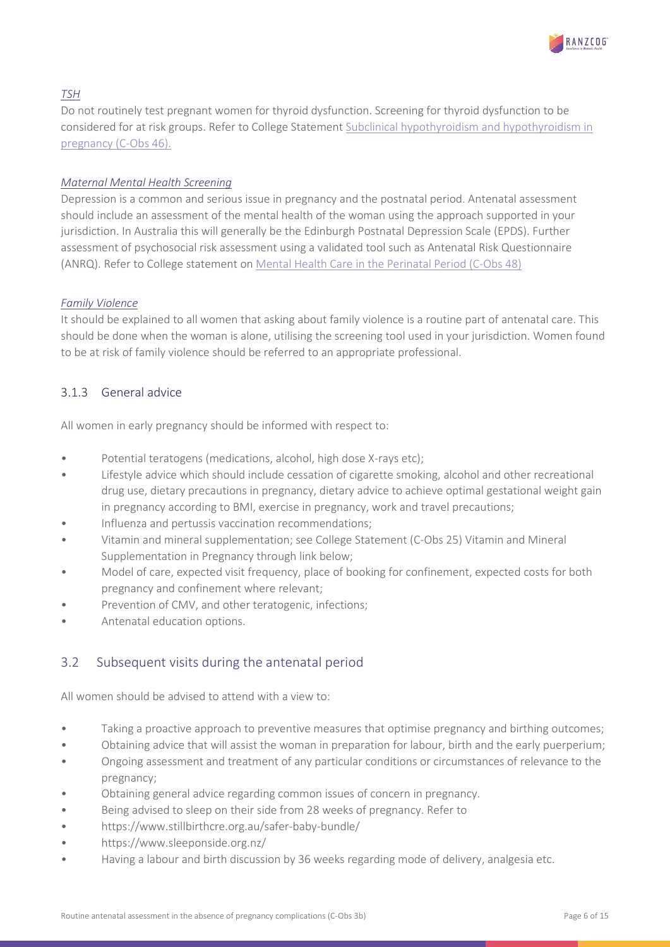

# *TSH*

Do not routinely test pregnant women for thyroid dysfunction. Screening for thyroid dysfunction to be considered for at risk groups. Refer to College Statement [Subclinical hypothyroidism and](https://ranzcog.edu.au/RANZCOG_SITE/media/RANZCOG-MEDIA/Women%27s%20Health/Statement%20and%20guidelines/Clinical-Obstetrics/Subclinical-hypothyroidism-and-hypothyroidism-in-pregnancy-(C-Obs-46)-Mar18.pdf?ext=.pdf) hypothyroidism in [pregnancy \(C-Obs 46\).](https://ranzcog.edu.au/RANZCOG_SITE/media/RANZCOG-MEDIA/Women%27s%20Health/Statement%20and%20guidelines/Clinical-Obstetrics/Subclinical-hypothyroidism-and-hypothyroidism-in-pregnancy-(C-Obs-46)-Mar18.pdf?ext=.pdf)

# *Maternal Mental Health Screening*

Depression is a common and serious issue in pregnancy and the postnatal period. Antenatal assessment should include an assessment of the mental health of the woman using the approach supported in your jurisdiction. In Australia this will generally be the Edinburgh Postnatal Depression Scale (EPDS). Further assessment of psychosocial risk assessment using a validated tool such as Antenatal Risk Questionnaire (ANRQ). Refer to College statement on [Mental Health Care in the Perinatal Period \(C-Obs 48\)](https://ranzcog.edu.au/RANZCOG_SITE/media/RANZCOG-MEDIA/Women%27s%20Health/Statement%20and%20guidelines/Clinical-Obstetrics/Mental-health-care-in-the-perinatal-period-(C-Obs-48).pdf?ext=.pdf)

# *Family Violence*

It should be explained to all women that asking about family violence is a routine part of antenatal care. This should be done when the woman is alone, utilising the screening tool used in your jurisdiction. Women found to be at risk of family violence should be referred to an appropriate professional.

# <span id="page-5-0"></span>3.1.3 General advice

All women in early pregnancy should be informed with respect to:

- Potential teratogens (medications, alcohol, high dose X-rays etc);
- Lifestyle advice which should include cessation of cigarette smoking, alcohol and other recreational drug use, dietary precautions in pregnancy, dietary advice to achieve optimal gestational weight gain in pregnancy according to BMI, exercise in pregnancy, work and travel precautions;
- Influenza and pertussis vaccination recommendations;
- Vitamin and mineral supplementation; see College Statement (C-Obs 25) Vitamin and Mineral Supplementation in Pregnancy through link below;
- Model of care, expected visit frequency, place of booking for confinement, expected costs for both pregnancy and confinement where relevant;
- Prevention of CMV, and other teratogenic, infections;
- Antenatal education options.

# <span id="page-5-1"></span>3.2 Subsequent visits during the antenatal period

All women should be advised to attend with a view to:

- Taking a proactive approach to preventive measures that optimise pregnancy and birthing outcomes;
- Obtaining advice that will assist the woman in preparation for labour, birth and the early puerperium;
- Ongoing assessment and treatment of any particular conditions or circumstances of relevance to the pregnancy;
- Obtaining general advice regarding common issues of concern in pregnancy.
- Being advised to sleep on their side from 28 weeks of pregnancy. Refer to
- https://www.stillbirthcre.org.au/safer-baby-bundle/
- https://www.sleeponside.org.nz/
- Having a labour and birth discussion by 36 weeks regarding mode of delivery, analgesia etc.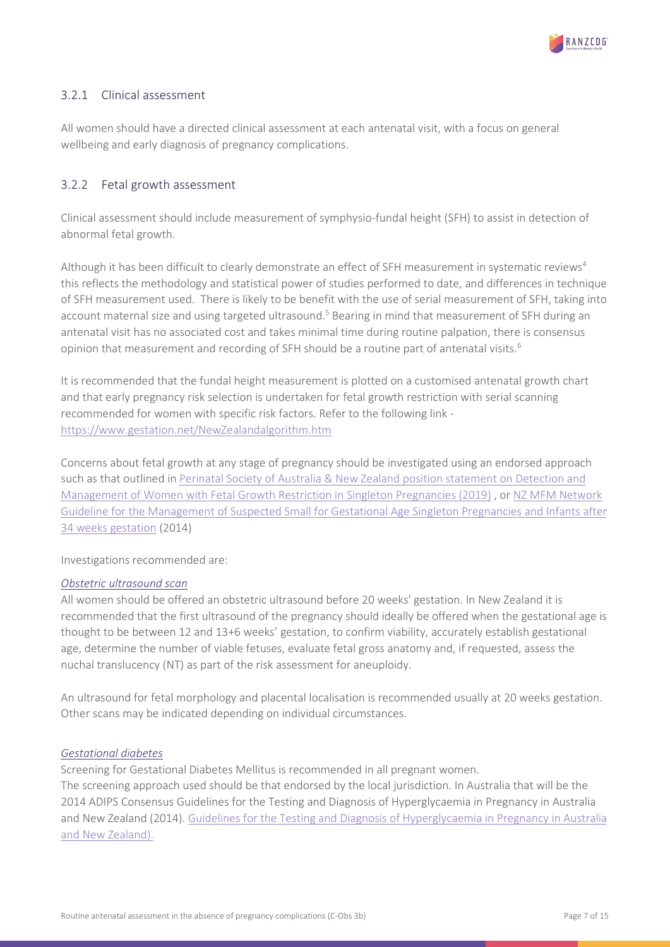

# <span id="page-6-0"></span>3.2.1 Clinical assessment

All women should have a directed clinical assessment at each antenatal visit, with a focus on general wellbeing and early diagnosis of pregnancy complications.

# <span id="page-6-1"></span>3.2.2 Fetal growth assessment

Clinical assessment should include measurement of symphysio-fundal height (SFH) to assist in detection of abnormal fetal growth.

Although it has been difficult to clearly demonstrate an effect of SFH measurement in systematic reviews<sup>4</sup> this reflects the methodology and statistical power of studies performed to date, and differences in technique of SFH measurement used. There is likely to be benefit with the use of serial measurement of SFH, taking into account maternal size and using targeted ultrasound.<sup>5</sup> Bearing in mind that measurement of SFH during an antenatal visit has no associated cost and takes minimal time during routine palpation, there is consensus opinion that measurement and recording of SFH should be a routine part of antenatal visits.<sup>6</sup>

It is recommended that the fundal height measurement is plotted on a customised antenatal growth chart and that early pregnancy risk selection is undertaken for fetal growth restriction with serial scanning recommended for women with specific risk factors. Refer to the following link <https://www.gestation.net/NewZealandalgorithm.htm>

Concerns about fetal growth at any stage of pregnancy should be investigated using an endorsed approach such as that outlined i[n Perinatal Society of Australia & New Zealand position statement on Detection and](https://sanda.psanz.com.au/assets/Uploads/Position-Statement-FGR.pdf)  [Management of Women with Fetal Growth Restriction in Singleton Pregnancies](https://sanda.psanz.com.au/assets/Uploads/Position-Statement-FGR.pdf) (2019) , or [NZ MFM Network](https://www.healthpoint.co.nz/downloadinfo,138318,otherList,qrxtiaam6ix6f02q5yd3.do)  [Guideline for the Management of Suspected Small for Gestational Age Singleton Pregnancies and Infants after](https://www.healthpoint.co.nz/downloadinfo,138318,otherList,qrxtiaam6ix6f02q5yd3.do)  [34 weeks gestation](https://www.healthpoint.co.nz/downloadinfo,138318,otherList,qrxtiaam6ix6f02q5yd3.do) (2014)

Investigations recommended are:

# *Obstetric ultrasound scan*

All women should be offered an obstetric ultrasound before 20 weeks' gestation. In New Zealand it is recommended that the first ultrasound of the pregnancy should ideally be offered when the gestational age is thought to be between 12 and 13+6 weeks' gestation, to confirm viability, accurately establish gestational age, determine the number of viable fetuses, evaluate fetal gross anatomy and, if requested, assess the nuchal translucency (NT) as part of the risk assessment for aneuploidy.

An ultrasound for fetal morphology and placental localisation is recommended usually at 20 weeks gestation. Other scans may be indicated depending on individual circumstances.

# *Gestational diabetes*

Screening for Gestational Diabetes Mellitus is recommended in all pregnant women. The screening approach used should be that endorsed by the local jurisdiction. In Australia that will be the 2014 ADIPS Consensus Guidelines for the Testing and Diagnosis of Hyperglycaemia in Pregnancy in Australia and New Zealand (2014). [Guidelines for the Testing and Diagnosis of Hyperglycaemia in Pregnancy in Australia](https://www.adips.org/downloads/2014ADIPSGDMGuidelinesV18.11.2014_000.pdf)  [and New Zealand\).](https://www.adips.org/downloads/2014ADIPSGDMGuidelinesV18.11.2014_000.pdf)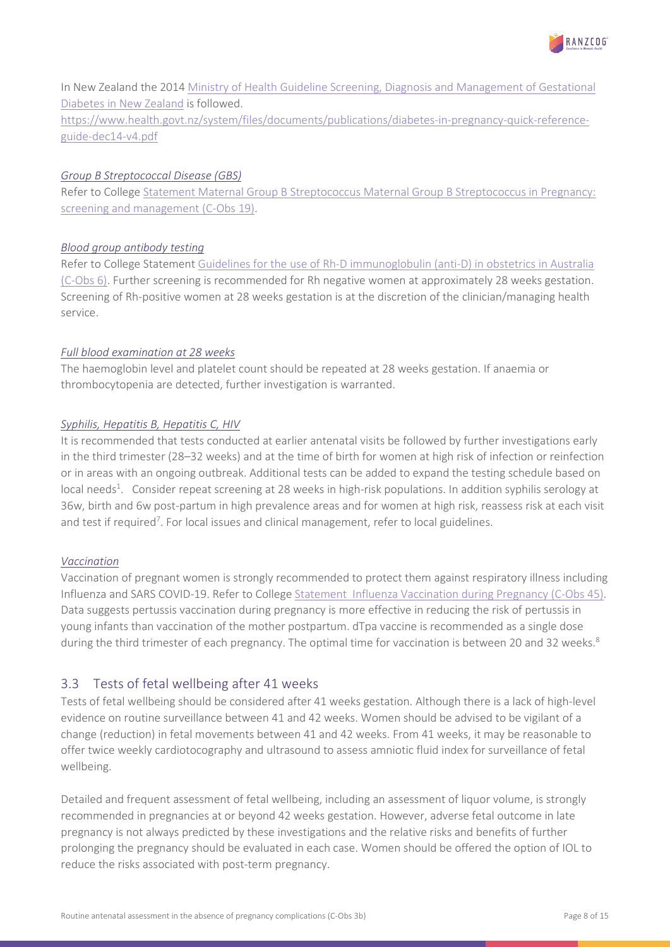

In New Zealand the 2014 [Ministry of Health Guideline Screening, Diagnosis and Management of Gestational](https://www.health.govt.nz/system/files/documents/publications/screening-diagnosis-management-of-gestational-diabetes-in-nz-clinical-practive-guideline-dec14-v2.pdf)  [Diabetes in New Zealand](https://www.health.govt.nz/system/files/documents/publications/screening-diagnosis-management-of-gestational-diabetes-in-nz-clinical-practive-guideline-dec14-v2.pdf) is followed.

[https://www.health.govt.nz/system/files/documents/publications/diabetes-in-pregnancy-quick-reference](https://www.health.govt.nz/system/files/documents/publications/diabetes-in-pregnancy-quick-reference-guide-dec14-v4.pdf)[guide-dec14-v4.pdf](https://www.health.govt.nz/system/files/documents/publications/diabetes-in-pregnancy-quick-reference-guide-dec14-v4.pdf)

# *Group B Streptococcal Disease (GBS)*

Refer to College [Statement Maternal Group B Streptococcus Maternal Group B Streptococcus in Pregnancy:](https://ranzcog.edu.au/RANZCOG_SITE/media/RANZCOG-MEDIA/Women%27s%20Health/Statement%20and%20guidelines/Clinical-Obstetrics/Maternal-Group-B-Streptococcus-in-pregnancy-screening-and-management-(C-Obs-19).pdf?ext=.pdf)  [screening and management \(C-Obs 19\).](https://ranzcog.edu.au/RANZCOG_SITE/media/RANZCOG-MEDIA/Women%27s%20Health/Statement%20and%20guidelines/Clinical-Obstetrics/Maternal-Group-B-Streptococcus-in-pregnancy-screening-and-management-(C-Obs-19).pdf?ext=.pdf)

# *Blood group antibody testing*

Refer to College Statement [Guidelines for the use of Rh-D immunoglobulin \(anti-D\) in obstetrics in Australia](https://ranzcog.edu.au/RANZCOG_SITE/media/RANZCOG-MEDIA/Women%27s%20Health/Statement%20and%20guidelines/Clinical-Obstetrics/Anti-D-guidelines_July-2021.pdf?ext=.pdf)  [\(C-Obs 6\).](https://ranzcog.edu.au/RANZCOG_SITE/media/RANZCOG-MEDIA/Women%27s%20Health/Statement%20and%20guidelines/Clinical-Obstetrics/Anti-D-guidelines_July-2021.pdf?ext=.pdf) Further screening is recommended for Rh negative women at approximately 28 weeks gestation. Screening of Rh-positive women at 28 weeks gestation is at the discretion of the clinician/managing health service.

# *Full blood examination at 28 weeks*

The haemoglobin level and platelet count should be repeated at 28 weeks gestation. If anaemia or thrombocytopenia are detected, further investigation is warranted.

# *Syphilis, Hepatitis B, Hepatitis C, HIV*

It is recommended that tests conducted at earlier antenatal visits be followed by further investigations early in the third trimester (28–32 weeks) and at the time of birth for women at high risk of infection or reinfection or in areas with an ongoing outbreak. Additional tests can be added to expand the testing schedule based on local needs<sup>1</sup>. Consider repeat screening at 28 weeks in high-risk populations. In addition syphilis serology at 36w, birth and 6w post-partum in high prevalence areas and for women at high risk, reassess risk at each visit and test if required<sup>7</sup>. For local issues and clinical management, refer to local guidelines.

# *Vaccination*

Vaccination of pregnant women is strongly recommended to protect them against respiratory illness including Influenza and SARS COVID-19. Refer to College [Statement Influenza Vaccination during Pregnancy \(C-Obs 45\).](https://ranzcog.edu.au/RANZCOG_SITE/media/RANZCOG-MEDIA/Women%27s%20Health/Statement%20and%20guidelines/Clinical-Obstetrics/Influenza-vaccination-in-pregnancy-(C-Obs-45)-Review-March-2017.pdf?ext=.pdf) Data suggests pertussis vaccination during pregnancy is more effective in reducing the risk of pertussis in young infants than vaccination of the mother postpartum. dTpa vaccine is recommended as a single dose during the third trimester of each pregnancy. The optimal time for vaccination is between 20 and 32 weeks.<sup>8</sup>

# <span id="page-7-0"></span>3.3 Tests of fetal wellbeing after 41 weeks

Tests of fetal wellbeing should be considered after 41 weeks gestation. Although there is a lack of high-level evidence on routine surveillance between 41 and 42 weeks. Women should be advised to be vigilant of a change (reduction) in fetal movements between 41 and 42 weeks. From 41 weeks, it may be reasonable to offer twice weekly cardiotocography and ultrasound to assess amniotic fluid index for surveillance of fetal wellbeing.

Detailed and frequent assessment of fetal wellbeing, including an assessment of liquor volume, is strongly recommended in pregnancies at or beyond 42 weeks gestation. However, adverse fetal outcome in late pregnancy is not always predicted by these investigations and the relative risks and benefits of further prolonging the pregnancy should be evaluated in each case. Women should be offered the option of IOL to reduce the risks associated with post-term pregnancy.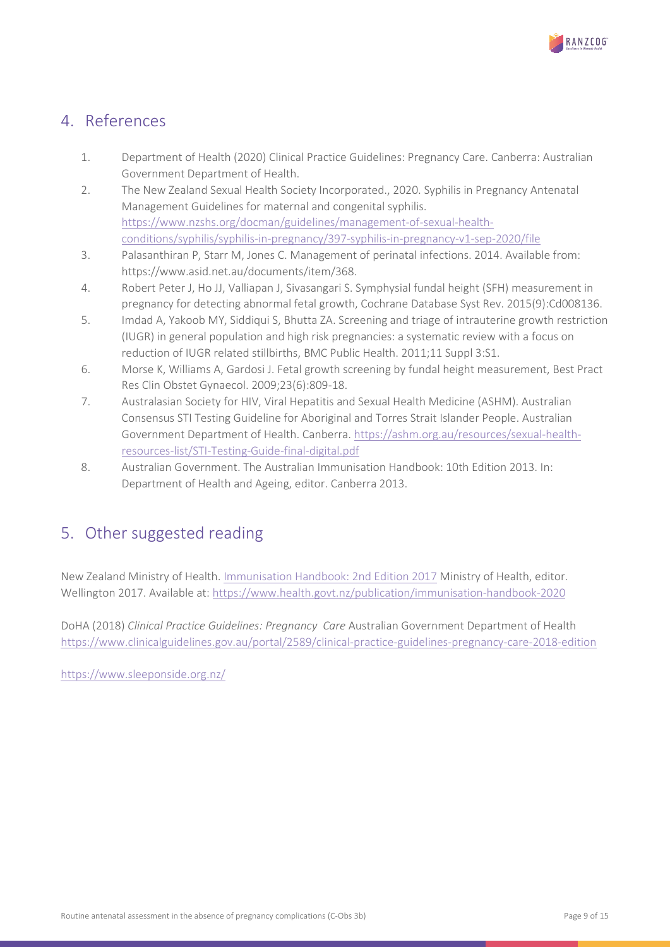

# <span id="page-8-0"></span>4. References

- 1. Department of Health (2020) Clinical Practice Guidelines: Pregnancy Care. Canberra: Australian Government Department of Health.
- 2. The New Zealand Sexual Health Society Incorporated., 2020. Syphilis in Pregnancy Antenatal Management Guidelines for maternal and congenital syphilis. [https://www.nzshs.org/docman/guidelines/management-of-sexual-health](https://www.nzshs.org/docman/guidelines/management-of-sexual-health-conditions/syphilis/syphilis-in-pregnancy/397-syphilis-in-pregnancy-v1-sep-2020/file)[conditions/syphilis/syphilis-in-pregnancy/397-syphilis-in-pregnancy-v1-sep-2020/file](https://www.nzshs.org/docman/guidelines/management-of-sexual-health-conditions/syphilis/syphilis-in-pregnancy/397-syphilis-in-pregnancy-v1-sep-2020/file)
- 3. Palasanthiran P, Starr M, Jones C. Management of perinatal infections. 2014. Available from: https://www.asid.net.au/documents/item/368.
- 4. Robert Peter J, Ho JJ, Valliapan J, Sivasangari S. Symphysial fundal height (SFH) measurement in pregnancy for detecting abnormal fetal growth, Cochrane Database Syst Rev. 2015(9):Cd008136.
- 5. Imdad A, Yakoob MY, Siddiqui S, Bhutta ZA. Screening and triage of intrauterine growth restriction (IUGR) in general population and high risk pregnancies: a systematic review with a focus on reduction of IUGR related stillbirths, BMC Public Health. 2011;11 Suppl 3:S1.
- 6. Morse K, Williams A, Gardosi J. Fetal growth screening by fundal height measurement, Best Pract Res Clin Obstet Gynaecol. 2009;23(6):809-18.
- 7. Australasian Society for HIV, Viral Hepatitis and Sexual Health Medicine (ASHM). Australian Consensus STI Testing Guideline for Aboriginal and Torres Strait Islander People. Australian Government Department of Health. Canberra[. https://ashm.org.au/resources/sexual-health](https://ashm.org.au/resources/sexual-health-resources-list/STI-Testing-Guide-final-digital.pdf)[resources-list/STI-Testing-Guide-final-digital.pdf](https://ashm.org.au/resources/sexual-health-resources-list/STI-Testing-Guide-final-digital.pdf)
- 8. Australian Government. The Australian Immunisation Handbook: 10th Edition 2013. In: Department of Health and Ageing, editor. Canberra 2013.

# <span id="page-8-1"></span>5. Other suggested reading

New Zealand Ministry of Health[. Immunisation Handbook: 2nd Edition 2017](http://immunisation.book.health.govt.nz/) Ministry of Health, editor. Wellington 2017. Available at: <https://www.health.govt.nz/publication/immunisation-handbook-2020>

DoHA (2018) *Clinical Practice Guidelines: Pregnancy Care* Australian Government Department of Health <https://www.clinicalguidelines.gov.au/portal/2589/clinical-practice-guidelines-pregnancy-care-2018-edition>

<https://www.sleeponside.org.nz/>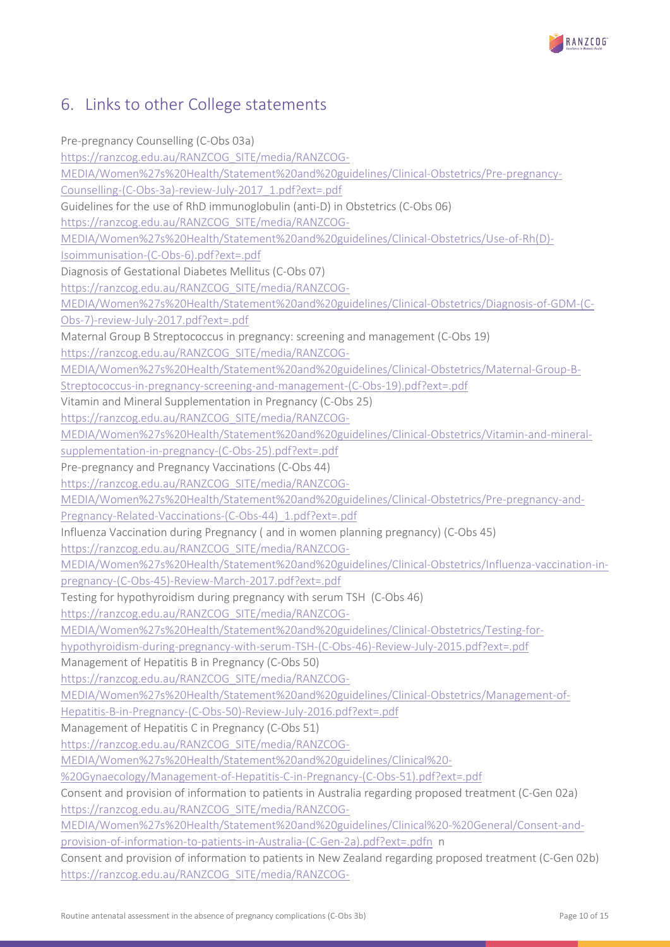

# <span id="page-9-0"></span>6. Links to other College statements

Pre-pregnancy Counselling (C-Obs 03a) [https://ranzcog.edu.au/RANZCOG\\_SITE/media/RANZCOG-](https://ranzcog.edu.au/RANZCOG_SITE/media/RANZCOG-MEDIA/Women%27s%20Health/Statement%20and%20guidelines/Clinical-Obstetrics/Pre-pregnancy-Counselling-(C-Obs-3a)-review-July-2017_1.pdf?ext=.pdf)[MEDIA/Women%27s%20Health/Statement%20and%20guidelines/Clinical-Obstetrics/Pre-pregnancy-](https://ranzcog.edu.au/RANZCOG_SITE/media/RANZCOG-MEDIA/Women%27s%20Health/Statement%20and%20guidelines/Clinical-Obstetrics/Pre-pregnancy-Counselling-(C-Obs-3a)-review-July-2017_1.pdf?ext=.pdf)[Counselling-\(C-Obs-3a\)-review-July-2017\\_1.pdf?ext=.pdf](https://ranzcog.edu.au/RANZCOG_SITE/media/RANZCOG-MEDIA/Women%27s%20Health/Statement%20and%20guidelines/Clinical-Obstetrics/Pre-pregnancy-Counselling-(C-Obs-3a)-review-July-2017_1.pdf?ext=.pdf) Guidelines for the use of RhD immunoglobulin (anti-D) in Obstetrics (C-Obs 06) [https://ranzcog.edu.au/RANZCOG\\_SITE/media/RANZCOG-](https://ranzcog.edu.au/RANZCOG_SITE/media/RANZCOG-MEDIA/Women%27s%20Health/Statement%20and%20guidelines/Clinical-Obstetrics/Use-of-Rh(D)-Isoimmunisation-(C-Obs-6).pdf?ext=.pdf)[MEDIA/Women%27s%20Health/Statement%20and%20guidelines/Clinical-Obstetrics/Use-of-Rh\(D\)-](https://ranzcog.edu.au/RANZCOG_SITE/media/RANZCOG-MEDIA/Women%27s%20Health/Statement%20and%20guidelines/Clinical-Obstetrics/Use-of-Rh(D)-Isoimmunisation-(C-Obs-6).pdf?ext=.pdf) [Isoimmunisation-\(C-Obs-6\).pdf?ext=.pdf](https://ranzcog.edu.au/RANZCOG_SITE/media/RANZCOG-MEDIA/Women%27s%20Health/Statement%20and%20guidelines/Clinical-Obstetrics/Use-of-Rh(D)-Isoimmunisation-(C-Obs-6).pdf?ext=.pdf) Diagnosis of Gestational Diabetes Mellitus (C-Obs 07) [https://ranzcog.edu.au/RANZCOG\\_SITE/media/RANZCOG-](https://ranzcog.edu.au/RANZCOG_SITE/media/RANZCOG-MEDIA/Women%27s%20Health/Statement%20and%20guidelines/Clinical-Obstetrics/Diagnosis-of-GDM-(C-Obs-7)-review-July-2017.pdf?ext=.pdf)[MEDIA/Women%27s%20Health/Statement%20and%20guidelines/Clinical-Obstetrics/Diagnosis-of-GDM-\(C-](https://ranzcog.edu.au/RANZCOG_SITE/media/RANZCOG-MEDIA/Women%27s%20Health/Statement%20and%20guidelines/Clinical-Obstetrics/Diagnosis-of-GDM-(C-Obs-7)-review-July-2017.pdf?ext=.pdf)[Obs-7\)-review-July-2017.pdf?ext=.pdf](https://ranzcog.edu.au/RANZCOG_SITE/media/RANZCOG-MEDIA/Women%27s%20Health/Statement%20and%20guidelines/Clinical-Obstetrics/Diagnosis-of-GDM-(C-Obs-7)-review-July-2017.pdf?ext=.pdf) Maternal Group B Streptococcus in pregnancy: screening and management (C-Obs 19) [https://ranzcog.edu.au/RANZCOG\\_SITE/media/RANZCOG-](https://ranzcog.edu.au/RANZCOG_SITE/media/RANZCOG-MEDIA/Women%27s%20Health/Statement%20and%20guidelines/Clinical-Obstetrics/Maternal-Group-B-Streptococcus-in-pregnancy-screening-and-management-(C-Obs-19).pdf?ext=.pdf)[MEDIA/Women%27s%20Health/Statement%20and%20guidelines/Clinical-Obstetrics/Maternal-Group-B-](https://ranzcog.edu.au/RANZCOG_SITE/media/RANZCOG-MEDIA/Women%27s%20Health/Statement%20and%20guidelines/Clinical-Obstetrics/Maternal-Group-B-Streptococcus-in-pregnancy-screening-and-management-(C-Obs-19).pdf?ext=.pdf)[Streptococcus-in-pregnancy-screening-and-management-\(C-Obs-19\).pdf?ext=.pdf](https://ranzcog.edu.au/RANZCOG_SITE/media/RANZCOG-MEDIA/Women%27s%20Health/Statement%20and%20guidelines/Clinical-Obstetrics/Maternal-Group-B-Streptococcus-in-pregnancy-screening-and-management-(C-Obs-19).pdf?ext=.pdf) Vitamin and Mineral Supplementation in Pregnancy (C-Obs 25) [https://ranzcog.edu.au/RANZCOG\\_SITE/media/RANZCOG-](https://ranzcog.edu.au/RANZCOG_SITE/media/RANZCOG-MEDIA/Women%27s%20Health/Statement%20and%20guidelines/Clinical-Obstetrics/Vitamin-and-mineral-supplementation-in-pregnancy-(C-Obs-25).pdf?ext=.pdf)[MEDIA/Women%27s%20Health/Statement%20and%20guidelines/Clinical-Obstetrics/Vitamin-and-mineral](https://ranzcog.edu.au/RANZCOG_SITE/media/RANZCOG-MEDIA/Women%27s%20Health/Statement%20and%20guidelines/Clinical-Obstetrics/Vitamin-and-mineral-supplementation-in-pregnancy-(C-Obs-25).pdf?ext=.pdf)[supplementation-in-pregnancy-\(C-Obs-25\).pdf?ext=.pdf](https://ranzcog.edu.au/RANZCOG_SITE/media/RANZCOG-MEDIA/Women%27s%20Health/Statement%20and%20guidelines/Clinical-Obstetrics/Vitamin-and-mineral-supplementation-in-pregnancy-(C-Obs-25).pdf?ext=.pdf) Pre-pregnancy and Pregnancy Vaccinations (C-Obs 44) [https://ranzcog.edu.au/RANZCOG\\_SITE/media/RANZCOG-](https://ranzcog.edu.au/RANZCOG_SITE/media/RANZCOG-MEDIA/Women%27s%20Health/Statement%20and%20guidelines/Clinical-Obstetrics/Pre-pregnancy-and-Pregnancy-Related-Vaccinations-(C-Obs-44)_1.pdf?ext=.pdf)[MEDIA/Women%27s%20Health/Statement%20and%20guidelines/Clinical-Obstetrics/Pre-pregnancy-and-](https://ranzcog.edu.au/RANZCOG_SITE/media/RANZCOG-MEDIA/Women%27s%20Health/Statement%20and%20guidelines/Clinical-Obstetrics/Pre-pregnancy-and-Pregnancy-Related-Vaccinations-(C-Obs-44)_1.pdf?ext=.pdf)[Pregnancy-Related-Vaccinations-\(C-Obs-44\)\\_1.pdf?ext=.pdf](https://ranzcog.edu.au/RANZCOG_SITE/media/RANZCOG-MEDIA/Women%27s%20Health/Statement%20and%20guidelines/Clinical-Obstetrics/Pre-pregnancy-and-Pregnancy-Related-Vaccinations-(C-Obs-44)_1.pdf?ext=.pdf) Influenza Vaccination during Pregnancy ( and in women planning pregnancy) (C-Obs 45) [https://ranzcog.edu.au/RANZCOG\\_SITE/media/RANZCOG-](https://ranzcog.edu.au/RANZCOG_SITE/media/RANZCOG-MEDIA/Women%27s%20Health/Statement%20and%20guidelines/Clinical-Obstetrics/Influenza-vaccination-in-pregnancy-(C-Obs-45)-Review-March-2017.pdf?ext=.pdf)[MEDIA/Women%27s%20Health/Statement%20and%20guidelines/Clinical-Obstetrics/Influenza-vaccination-in](https://ranzcog.edu.au/RANZCOG_SITE/media/RANZCOG-MEDIA/Women%27s%20Health/Statement%20and%20guidelines/Clinical-Obstetrics/Influenza-vaccination-in-pregnancy-(C-Obs-45)-Review-March-2017.pdf?ext=.pdf)[pregnancy-\(C-Obs-45\)-Review-March-2017.pdf?ext=.pdf](https://ranzcog.edu.au/RANZCOG_SITE/media/RANZCOG-MEDIA/Women%27s%20Health/Statement%20and%20guidelines/Clinical-Obstetrics/Influenza-vaccination-in-pregnancy-(C-Obs-45)-Review-March-2017.pdf?ext=.pdf) Testing for hypothyroidism during pregnancy with serum TSH (C-Obs 46) [https://ranzcog.edu.au/RANZCOG\\_SITE/media/RANZCOG-](https://ranzcog.edu.au/RANZCOG_SITE/media/RANZCOG-MEDIA/Women%27s%20Health/Statement%20and%20guidelines/Clinical-Obstetrics/Testing-for-hypothyroidism-during-pregnancy-with-serum-TSH-(C-Obs-46)-Review-July-2015.pdf?ext=.pdf)[MEDIA/Women%27s%20Health/Statement%20and%20guidelines/Clinical-Obstetrics/Testing-for](https://ranzcog.edu.au/RANZCOG_SITE/media/RANZCOG-MEDIA/Women%27s%20Health/Statement%20and%20guidelines/Clinical-Obstetrics/Testing-for-hypothyroidism-during-pregnancy-with-serum-TSH-(C-Obs-46)-Review-July-2015.pdf?ext=.pdf)[hypothyroidism-during-pregnancy-with-serum-TSH-\(C-Obs-46\)-Review-July-2015.pdf?ext=.pdf](https://ranzcog.edu.au/RANZCOG_SITE/media/RANZCOG-MEDIA/Women%27s%20Health/Statement%20and%20guidelines/Clinical-Obstetrics/Testing-for-hypothyroidism-during-pregnancy-with-serum-TSH-(C-Obs-46)-Review-July-2015.pdf?ext=.pdf) Management of Hepatitis B in Pregnancy (C-Obs 50) [https://ranzcog.edu.au/RANZCOG\\_SITE/media/RANZCOG-](https://ranzcog.edu.au/RANZCOG_SITE/media/RANZCOG-MEDIA/Women%27s%20Health/Statement%20and%20guidelines/Clinical-Obstetrics/Management-of-Hepatitis-B-in-Pregnancy-(C-Obs-50)-Review-July-2016.pdf?ext=.pdf)[MEDIA/Women%27s%20Health/Statement%20and%20guidelines/Clinical-Obstetrics/Management-of-](https://ranzcog.edu.au/RANZCOG_SITE/media/RANZCOG-MEDIA/Women%27s%20Health/Statement%20and%20guidelines/Clinical-Obstetrics/Management-of-Hepatitis-B-in-Pregnancy-(C-Obs-50)-Review-July-2016.pdf?ext=.pdf)[Hepatitis-B-in-Pregnancy-\(C-Obs-50\)-Review-July-2016.pdf?ext=.pdf](https://ranzcog.edu.au/RANZCOG_SITE/media/RANZCOG-MEDIA/Women%27s%20Health/Statement%20and%20guidelines/Clinical-Obstetrics/Management-of-Hepatitis-B-in-Pregnancy-(C-Obs-50)-Review-July-2016.pdf?ext=.pdf) Management of Hepatitis C in Pregnancy (C-Obs 51) [https://ranzcog.edu.au/RANZCOG\\_SITE/media/RANZCOG-](https://ranzcog.edu.au/RANZCOG_SITE/media/RANZCOG-MEDIA/Women%27s%20Health/Statement%20and%20guidelines/Clinical%20-%20Gynaecology/Management-of-Hepatitis-C-in-Pregnancy-(C-Obs-51).pdf?ext=.pdf)[MEDIA/Women%27s%20Health/Statement%20and%20guidelines/Clinical%20-](https://ranzcog.edu.au/RANZCOG_SITE/media/RANZCOG-MEDIA/Women%27s%20Health/Statement%20and%20guidelines/Clinical%20-%20Gynaecology/Management-of-Hepatitis-C-in-Pregnancy-(C-Obs-51).pdf?ext=.pdf) [%20Gynaecology/Management-of-Hepatitis-C-in-Pregnancy-\(C-Obs-51\).pdf?ext=.pdf](https://ranzcog.edu.au/RANZCOG_SITE/media/RANZCOG-MEDIA/Women%27s%20Health/Statement%20and%20guidelines/Clinical%20-%20Gynaecology/Management-of-Hepatitis-C-in-Pregnancy-(C-Obs-51).pdf?ext=.pdf) Consent and provision of information to patients in Australia regarding proposed treatment (C-Gen 02a) [https://ranzcog.edu.au/RANZCOG\\_SITE/media/RANZCOG-](https://ranzcog.edu.au/RANZCOG_SITE/media/RANZCOG-MEDIA/Women%27s%20Health/Statement%20and%20guidelines/Clinical%20-%20General/Consent-and-provision-of-information-to-patients-in-Australia-(C-Gen-2a).pdf?ext=.pdfn)[MEDIA/Women%27s%20Health/Statement%20and%20guidelines/Clinical%20-%20General/Consent-and](https://ranzcog.edu.au/RANZCOG_SITE/media/RANZCOG-MEDIA/Women%27s%20Health/Statement%20and%20guidelines/Clinical%20-%20General/Consent-and-provision-of-information-to-patients-in-Australia-(C-Gen-2a).pdf?ext=.pdfn)[provision-of-information-to-patients-in-Australia-\(C-Gen-2a\).pdf?ext=.pdfn](https://ranzcog.edu.au/RANZCOG_SITE/media/RANZCOG-MEDIA/Women%27s%20Health/Statement%20and%20guidelines/Clinical%20-%20General/Consent-and-provision-of-information-to-patients-in-Australia-(C-Gen-2a).pdf?ext=.pdfn) n Consent and provision of information to patients in New Zealand regarding proposed treatment (C-Gen 02b)

[https://ranzcog.edu.au/RANZCOG\\_SITE/media/RANZCOG-](https://ranzcog.edu.au/RANZCOG_SITE/media/RANZCOG-MEDIA/Women%27s%20Health/Statement%20and%20guidelines/Clinical%20-%20General/Consent-and-provision-of-information-NZ-(C-Gen-2b).pdf?ext=.pdf)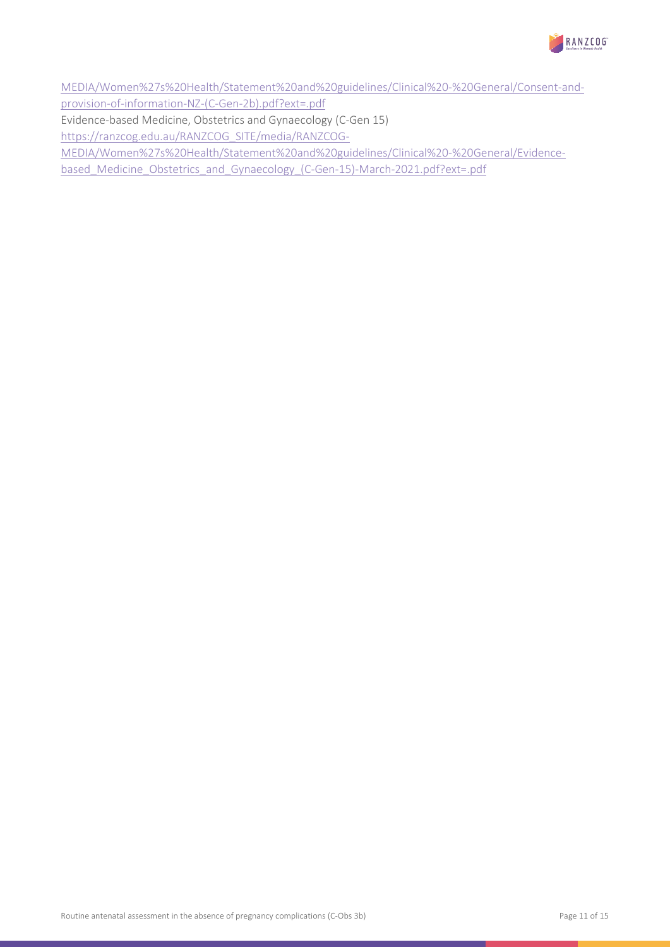

[MEDIA/Women%27s%20Health/Statement%20and%20guidelines/Clinical%20-%20General/Consent-and](https://ranzcog.edu.au/RANZCOG_SITE/media/RANZCOG-MEDIA/Women%27s%20Health/Statement%20and%20guidelines/Clinical%20-%20General/Consent-and-provision-of-information-NZ-(C-Gen-2b).pdf?ext=.pdf)[provision-of-information-NZ-\(C-Gen-2b\).pdf?ext=.pdf](https://ranzcog.edu.au/RANZCOG_SITE/media/RANZCOG-MEDIA/Women%27s%20Health/Statement%20and%20guidelines/Clinical%20-%20General/Consent-and-provision-of-information-NZ-(C-Gen-2b).pdf?ext=.pdf)

Evidence-based Medicine, Obstetrics and Gynaecology (C-Gen 15)

[https://ranzcog.edu.au/RANZCOG\\_SITE/media/RANZCOG-](https://ranzcog.edu.au/RANZCOG_SITE/media/RANZCOG-MEDIA/Women%27s%20Health/Statement%20and%20guidelines/Clinical%20-%20General/Evidence-based_Medicine_Obstetrics_and_Gynaecology_(C-Gen-15)-March-2021.pdf?ext=.pdf)

[MEDIA/Women%27s%20Health/Statement%20and%20guidelines/Clinical%20-%20General/Evidence-](https://ranzcog.edu.au/RANZCOG_SITE/media/RANZCOG-MEDIA/Women%27s%20Health/Statement%20and%20guidelines/Clinical%20-%20General/Evidence-based_Medicine_Obstetrics_and_Gynaecology_(C-Gen-15)-March-2021.pdf?ext=.pdf)

based Medicine Obstetrics and Gynaecology (C-Gen-15)-March-2021.pdf?ext=.pdf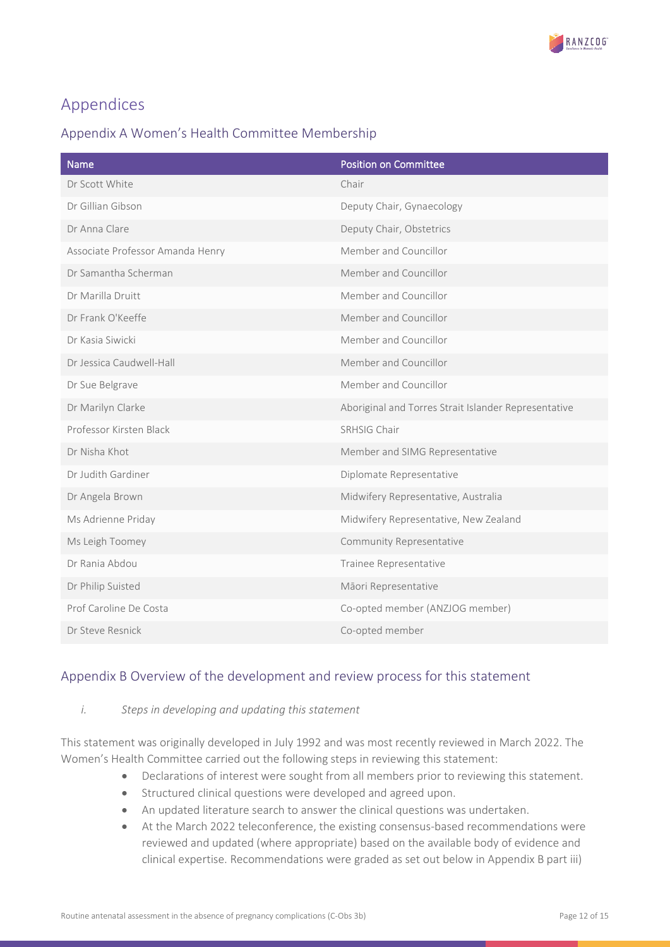

# <span id="page-11-0"></span>Appendices

# <span id="page-11-1"></span>Appendix A Women's Health Committee Membership

| Name                             | <b>Position on Committee</b>                         |
|----------------------------------|------------------------------------------------------|
| Dr Scott White                   | Chair                                                |
| Dr Gillian Gibson                | Deputy Chair, Gynaecology                            |
| Dr Anna Clare                    | Deputy Chair, Obstetrics                             |
| Associate Professor Amanda Henry | Member and Councillor                                |
| Dr Samantha Scherman             | Member and Councillor                                |
| Dr Marilla Druitt                | Member and Councillor                                |
| Dr Frank O'Keeffe                | Member and Councillor                                |
| Dr Kasia Siwicki                 | Member and Councillor                                |
| Dr Jessica Caudwell-Hall         | Member and Councillor                                |
| Dr Sue Belgrave                  | Member and Councillor                                |
| Dr Marilyn Clarke                | Aboriginal and Torres Strait Islander Representative |
| Professor Kirsten Black          | SRHSIG Chair                                         |
| Dr Nisha Khot                    | Member and SIMG Representative                       |
| Dr Judith Gardiner               | Diplomate Representative                             |
| Dr Angela Brown                  | Midwifery Representative, Australia                  |
| Ms Adrienne Priday               | Midwifery Representative, New Zealand                |
| Ms Leigh Toomey                  | Community Representative                             |
| Dr Rania Abdou                   | Trainee Representative                               |
| Dr Philip Suisted                | Māori Representative                                 |
| Prof Caroline De Costa           | Co-opted member (ANZJOG member)                      |
| Dr Steve Resnick                 | Co-opted member                                      |

# <span id="page-11-2"></span>Appendix B Overview of the development and review process for this statement

# *i. Steps in developing and updating this statement*

This statement was originally developed in July 1992 and was most recently reviewed in March 2022. The Women's Health Committee carried out the following steps in reviewing this statement:

- Declarations of interest were sought from all members prior to reviewing this statement.
- Structured clinical questions were developed and agreed upon.
- An updated literature search to answer the clinical questions was undertaken.
- At the March 2022 teleconference, the existing consensus-based recommendations were reviewed and updated (where appropriate) based on the available body of evidence and clinical expertise. Recommendations were graded as set out below in Appendix B part iii)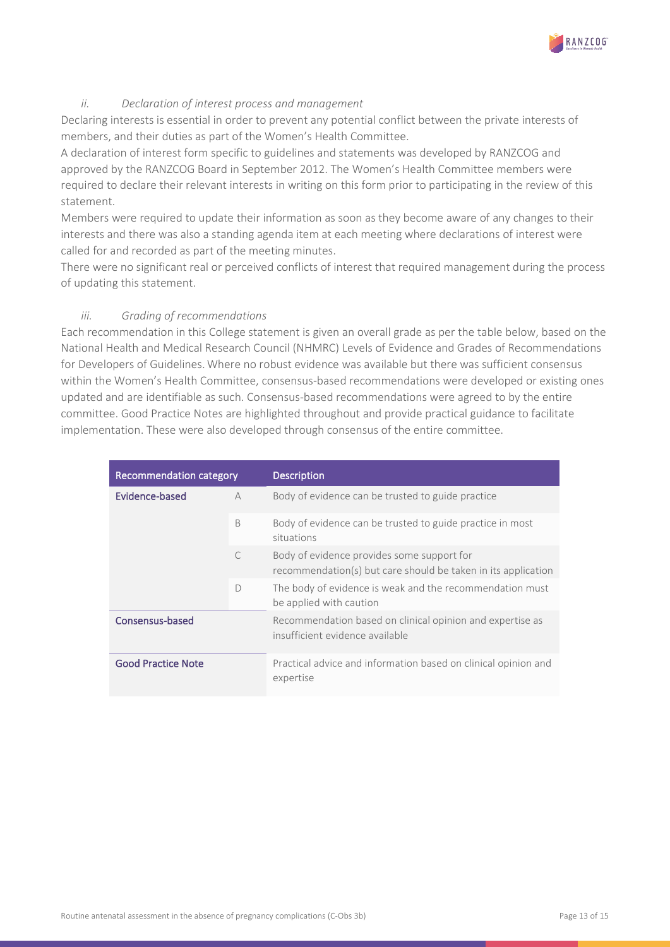

# *ii. Declaration of interest process and management*

Declaring interests is essential in order to prevent any potential conflict between the private interests of members, and their duties as part of the Women's Health Committee.

A declaration of interest form specific to guidelines and statements was developed by RANZCOG and approved by the RANZCOG Board in September 2012. The Women's Health Committee members were required to declare their relevant interests in writing on this form prior to participating in the review of this statement.

Members were required to update their information as soon as they become aware of any changes to their interests and there was also a standing agenda item at each meeting where declarations of interest were called for and recorded as part of the meeting minutes.

There were no significant real or perceived conflicts of interest that required management during the process of updating this statement.

# *iii. Grading of recommendations*

Each recommendation in this College statement is given an overall grade as per the table below, based on the National Health and Medical Research Council (NHMRC) Levels of Evidence and Grades of Recommendations for Developers of Guidelines. Where no robust evidence was available but there was sufficient consensus within the Women's Health Committee, consensus-based recommendations were developed or existing ones updated and are identifiable as such. Consensus-based recommendations were agreed to by the entire committee. Good Practice Notes are highlighted throughout and provide practical guidance to facilitate implementation. These were also developed through consensus of the entire committee.

| Recommendation category   |           | <b>Description</b>                                                                                          |
|---------------------------|-----------|-------------------------------------------------------------------------------------------------------------|
| Evidence-based            | A         | Body of evidence can be trusted to guide practice                                                           |
|                           | B         | Body of evidence can be trusted to guide practice in most<br>situations                                     |
|                           | $\subset$ | Body of evidence provides some support for<br>recommendation(s) but care should be taken in its application |
|                           | D         | The body of evidence is weak and the recommendation must<br>be applied with caution                         |
| Consensus-based           |           | Recommendation based on clinical opinion and expertise as<br>insufficient evidence available                |
| <b>Good Practice Note</b> |           | Practical advice and information based on clinical opinion and<br>expertise                                 |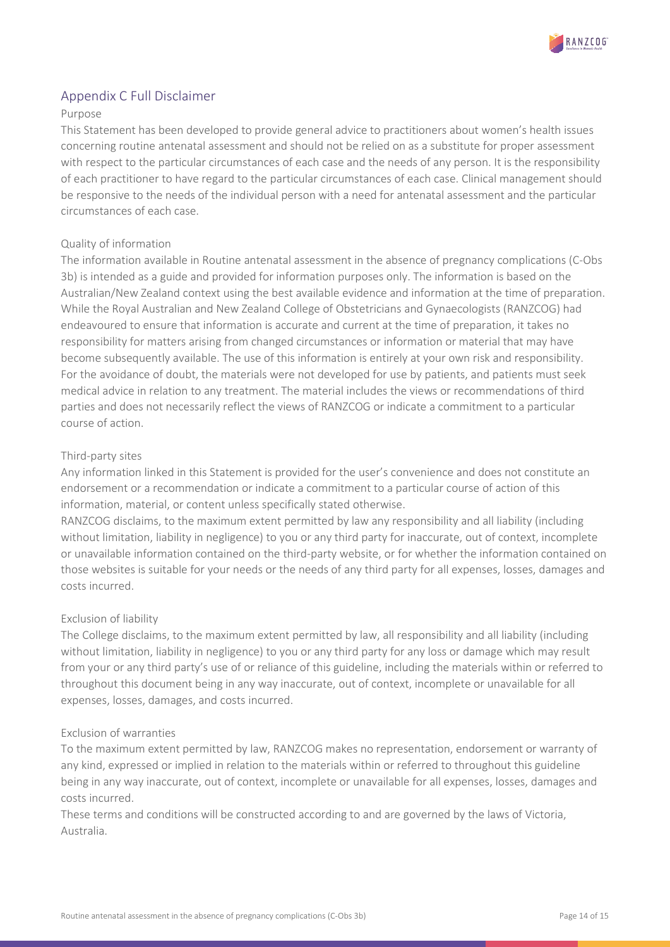

# <span id="page-13-0"></span>Appendix C Full Disclaimer

# Purpose

This Statement has been developed to provide general advice to practitioners about women's health issues concerning routine antenatal assessment and should not be relied on as a substitute for proper assessment with respect to the particular circumstances of each case and the needs of any person. It is the responsibility of each practitioner to have regard to the particular circumstances of each case. Clinical management should be responsive to the needs of the individual person with a need for antenatal assessment and the particular circumstances of each case.

# Quality of information

The information available in Routine antenatal assessment in the absence of pregnancy complications (C-Obs 3b) is intended as a guide and provided for information purposes only. The information is based on the Australian/New Zealand context using the best available evidence and information at the time of preparation. While the Royal Australian and New Zealand College of Obstetricians and Gynaecologists (RANZCOG) had endeavoured to ensure that information is accurate and current at the time of preparation, it takes no responsibility for matters arising from changed circumstances or information or material that may have become subsequently available. The use of this information is entirely at your own risk and responsibility. For the avoidance of doubt, the materials were not developed for use by patients, and patients must seek medical advice in relation to any treatment. The material includes the views or recommendations of third parties and does not necessarily reflect the views of RANZCOG or indicate a commitment to a particular course of action.

# Third-party sites

Any information linked in this Statement is provided for the user's convenience and does not constitute an endorsement or a recommendation or indicate a commitment to a particular course of action of this information, material, or content unless specifically stated otherwise.

RANZCOG disclaims, to the maximum extent permitted by law any responsibility and all liability (including without limitation, liability in negligence) to you or any third party for inaccurate, out of context, incomplete or unavailable information contained on the third-party website, or for whether the information contained on those websites is suitable for your needs or the needs of any third party for all expenses, losses, damages and costs incurred.

# Exclusion of liability

The College disclaims, to the maximum extent permitted by law, all responsibility and all liability (including without limitation, liability in negligence) to you or any third party for any loss or damage which may result from your or any third party's use of or reliance of this guideline, including the materials within or referred to throughout this document being in any way inaccurate, out of context, incomplete or unavailable for all expenses, losses, damages, and costs incurred.

# Exclusion of warranties

To the maximum extent permitted by law, RANZCOG makes no representation, endorsement or warranty of any kind, expressed or implied in relation to the materials within or referred to throughout this guideline being in any way inaccurate, out of context, incomplete or unavailable for all expenses, losses, damages and costs incurred.

These terms and conditions will be constructed according to and are governed by the laws of Victoria, Australia.